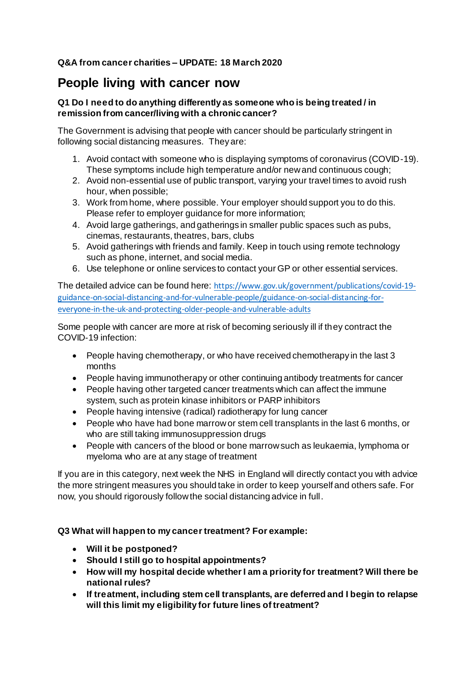### **Q&A from cancer charities – UPDATE: 18 March 2020**

### **People living with cancer now**

### **Q1 Do I need to do anything differently as someone who is being treated / in remission from cancer/living with a chronic cancer?**

The Government is advising that people with cancer should be particularly stringent in following social distancing measures. They are:

- 1. Avoid contact with someone who is displaying symptoms of coronavirus (COVID-19). These symptoms include high temperature and/or new and continuous cough;
- 2. Avoid non-essential use of public transport, varying your travel times to avoid rush hour, when possible;
- 3. Work from home, where possible. Your employer should support you to do this. Please refer to employer guidance for more information;
- 4. Avoid large gatherings, and gatherings in smaller public spaces such as pubs, cinemas, restaurants, theatres, bars, clubs
- 5. Avoid gatherings with friends and family. Keep in touch using remote technology such as phone, internet, and social media.
- 6. Use telephone or online services to contact your GP or other essential services.

The detailed advice can be found here: [https://www.gov.uk/government/publications/covid-19](https://www.gov.uk/government/publications/covid-19-guidance-on-social-distancing-and-for-vulnerable-people/guidance-on-social-distancing-for-everyone-in-the-uk-and-protecting-older-people-and-vulnerable-adults) [guidance-on-social-distancing-and-for-vulnerable-people/guidance-on-social-distancing-for](https://www.gov.uk/government/publications/covid-19-guidance-on-social-distancing-and-for-vulnerable-people/guidance-on-social-distancing-for-everyone-in-the-uk-and-protecting-older-people-and-vulnerable-adults)[everyone-in-the-uk-and-protecting-older-people-and-vulnerable-adults](https://www.gov.uk/government/publications/covid-19-guidance-on-social-distancing-and-for-vulnerable-people/guidance-on-social-distancing-for-everyone-in-the-uk-and-protecting-older-people-and-vulnerable-adults)

Some people with cancer are more at risk of becoming seriously ill if they contract the COVID-19 infection:

- People having chemotherapy, or who have received chemotherapy in the last 3 months
- People having immunotherapy or other continuing antibody treatments for cancer
- People having other targeted cancer treatments which can affect the immune system, such as protein kinase inhibitors or PARP inhibitors
- People having intensive (radical) radiotherapy for lung cancer
- People who have had bone marrow or stem cell transplants in the last 6 months, or who are still taking immunosuppression drugs
- People with cancers of the blood or bone marrow such as leukaemia, lymphoma or myeloma who are at any stage of treatment

If you are in this category, next week the NHS in England will directly contact you with advice the more stringent measures you should take in order to keep yourself and others safe. For now, you should rigorously follow the social distancing advice in full.

### **Q3 What will happen to my cancer treatment? For example:**

- **Will it be postponed?**
- **Should I still go to hospital appointments?**
- **How will my hospital decide whether I am a priority for treatment? Will there be national rules?**
- **If treatment, including stem cell transplants, are deferred and I begin to relapse will this limit my eligibility for future lines of treatment?**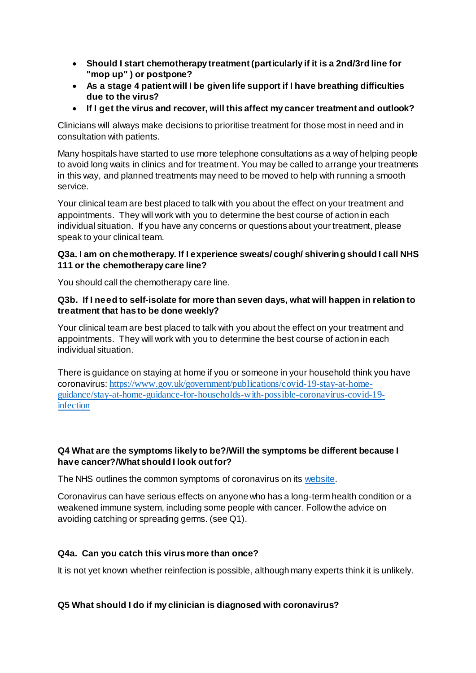- **Should I start chemotherapy treatment (particularly if it is a 2nd/3rd line for "mop up" ) or postpone?**
- **As a stage 4 patient will I be given life support if I have breathing difficulties due to the virus?**
- **If I get the virus and recover, will this affect my cancer treatment and outlook?**

Clinicians will always make decisions to prioritise treatment for those most in need and in consultation with patients.

Many hospitals have started to use more telephone consultations as a way of helping people to avoid long waits in clinics and for treatment. You may be called to arrange your treatments in this way, and planned treatments may need to be moved to help with running a smooth service.

Your clinical team are best placed to talk with you about the effect on your treatment and appointments. They will work with you to determine the best course of action in each individual situation. If you have any concerns or questions about your treatment, please speak to your clinical team.

### **Q3a. I am on chemotherapy. If I experience sweats/ cough/ shivering should I call NHS 111 or the chemotherapy care line?**

You should call the chemotherapy care line.

### **Q3b. If I need to self-isolate for more than seven days, what will happen in relation to treatment that has to be done weekly?**

Your clinical team are best placed to talk with you about the effect on your treatment and appointments. They will work with you to determine the best course of action in each individual situation.

There is guidance on staying at home if you or someone in your household think you have coronavirus: [https://www.gov.uk/government/publications/covid-19-stay-at-home](https://www.gov.uk/government/publications/covid-19-stay-at-home-guidance/stay-at-home-guidance-for-households-with-possible-coronavirus-covid-19-infection)[guidance/stay-at-home-guidance-for-households-with-possible-coronavirus-covid-19](https://www.gov.uk/government/publications/covid-19-stay-at-home-guidance/stay-at-home-guidance-for-households-with-possible-coronavirus-covid-19-infection) [infection](https://www.gov.uk/government/publications/covid-19-stay-at-home-guidance/stay-at-home-guidance-for-households-with-possible-coronavirus-covid-19-infection)

### **Q4 What are the symptoms likely to be?/Will the symptoms be different because I have cancer?/What should I look out for?**

The NHS outlines the common symptoms of coronavirus on it[s website.](https://www.nhs.uk/conditions/coronavirus-covid-19/)

Coronavirus can have serious effects on anyone who has a long-term health condition or a weakened immune system, including some people with cancer. Follow the advice on avoiding catching or spreading germs. (see Q1).

### **Q4a. Can you catch this virus more than once?**

It is not yet known whether reinfection is possible, although many experts think it is unlikely.

### **Q5 What should I do if my clinician is diagnosed with coronavirus?**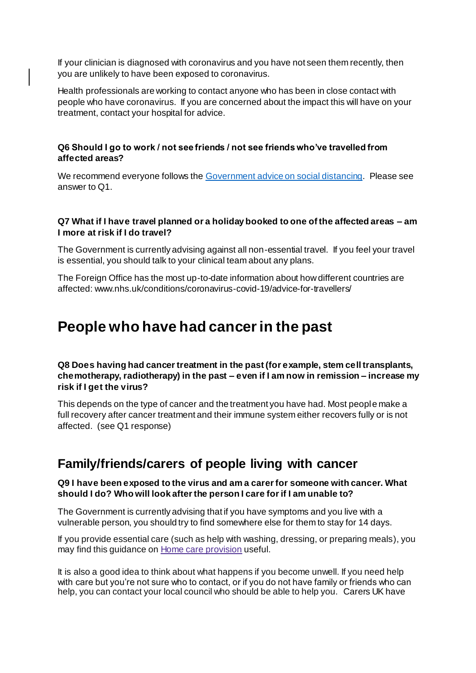If your clinician is diagnosed with coronavirus and you have not seen them recently, then you are unlikely to have been exposed to coronavirus.

Health professionals are working to contact anyone who has been in close contact with people who have coronavirus. If you are concerned about the impact this will have on your treatment, contact your hospital for advice.

### **Q6 Should I go to work / not see friends / not see friends who've travelled from affected areas?**

We recommend everyone follows th[e Government advice on social distancing](https://www.gov.uk/government/publications/covid-19-guidance-on-social-distancing-and-for-vulnerable-people/guidance-on-social-distancing-for-everyone-in-the-uk-and-protecting-older-people-and-vulnerable-adults). Please see answer to Q1.

### **Q7 What if I have travel planned or a holiday booked to one of the affected areas – am I more at risk if I do travel?**

The Government is currently advising against all non-essential travel. If you feel your travel is essential, you should talk to your clinical team about any plans.

The Foreign Office has the most up-to-date information about how different countries are affected: www.nhs.uk/conditions/coronavirus-covid-19/advice-for-travellers/

# **People who have had cancer in the past**

**Q8 Does having had cancer treatment in the past (for example, stem cell transplants, chemotherapy, radiotherapy) in the past – even if I am now in remission – increase my risk if I get the virus?** 

This depends on the type of cancer and the treatment you have had. Most people make a full recovery after cancer treatment and their immune system either recovers fully or is not affected. (see Q1 response)

### **Family/friends/carers of people living with cancer**

#### **Q9 I have been exposed to the virus and am a carer for someone with cancer. What should I do? Who will look after the person I care for if I am unable to?**

The Government is currently advising that if you have symptoms and you live with a vulnerable person, you should try to find somewhere else for them to stay for 14 days.

If you provide essential care (such as help with washing, dressing, or preparing meals), you may find this guidance on Home care [provision](https://www.gov.uk/government/publications/covid-19-residential-care-supported-living-and-home-care-guidance/covid-19-guidance-on-home-care-provision) useful.

It is also a good idea to think about what happens if you become unwell. If you need help with care but you're not sure who to contact, or if you do not have family or friends who can help, you can contact your local council who should be able to help you. Carers UK have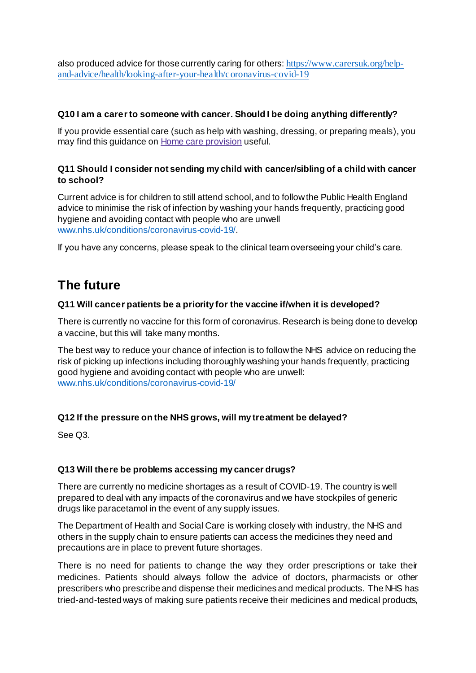also produced advice for those currently caring for others: [https://www.carersuk.org/help](https://www.carersuk.org/help-and-advice/health/looking-after-your-health/coronavirus-covid-19)[and-advice/health/looking-after-your-health/coronavirus-covid-19](https://www.carersuk.org/help-and-advice/health/looking-after-your-health/coronavirus-covid-19)

### **Q10 I am a carer to someone with cancer. Should I be doing anything differently?**

If you provide essential care (such as help with washing, dressing, or preparing meals), you may find this guidance on Home care [provision](https://www.gov.uk/government/publications/covid-19-residential-care-supported-living-and-home-care-guidance/covid-19-guidance-on-home-care-provision) useful.

### **Q11 Should I consider not sending my child with cancer/sibling of a child with cancer to school?**

Current advice is for children to still attend school, and to follow the Public Health England advice to minimise the risk of infection by washing your hands frequently, practicing good hygiene and avoiding contact with people who are unwell [www.nhs.uk/conditions/coronavirus-covid-19/](http://www.nhs.uk/conditions/coronavirus-covid-19/).

If you have any concerns, please speak to the clinical team overseeing your child's care.

## **The future**

### **Q11 Will cancer patients be a priority for the vaccine if/when it is developed?**

There is currently no vaccine for this form of coronavirus. Research is being done to develop a vaccine, but this will take many months.

The best way to reduce your chance of infection is to follow the NHS advice on reducing the risk of picking up infections including thoroughly washing your hands frequently, practicing good hygiene and avoiding contact with people who are unwell: [www.nhs.uk/conditions/coronavirus-covid-19/](http://www.nhs.uk/conditions/coronavirus-covid-19/)

### **Q12 If the pressure on the NHS grows, will my treatment be delayed?**

See Q3.

### **Q13 Will there be problems accessing my cancer drugs?**

There are currently no medicine shortages as a result of COVID-19. The country is well prepared to deal with any impacts of the coronavirus and we have stockpiles of generic drugs like paracetamol in the event of any supply issues.

The Department of Health and Social Care is working closely with industry, the NHS and others in the supply chain to ensure patients can access the medicines they need and precautions are in place to prevent future shortages.

There is no need for patients to change the way they order prescriptions or take their medicines. Patients should always follow the advice of doctors, pharmacists or other prescribers who prescribe and dispense their medicines and medical products. The NHS has tried-and-tested ways of making sure patients receive their medicines and medical products,